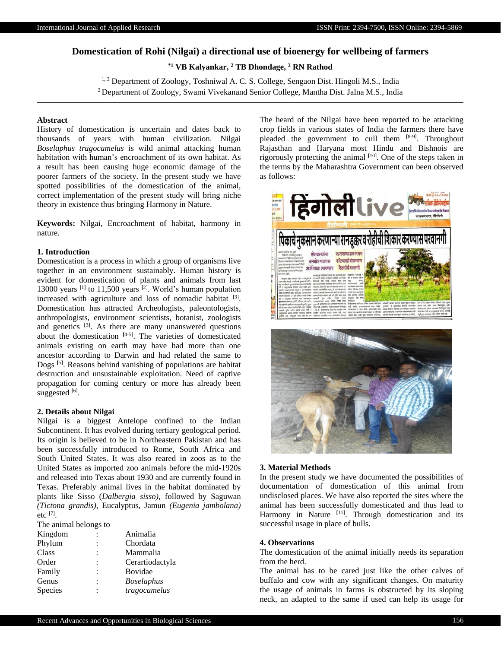# **Domestication of Rohi (Nilgai) a directional use of bioenergy for wellbeing of farmers**

**\*1 VB Kalyankar, <sup>2</sup> TB Dhondage, <sup>3</sup> RN Rathod**

<sup>1, 3</sup> Department of Zoology, Toshniwal A. C. S. College, Sengaon Dist. Hingoli M.S., India <sup>2</sup> Department of Zoology, Swami Vivekanand Senior College, Mantha Dist. Jalna M.S., India

### **Abstract**

History of domestication is uncertain and dates back to thousands of years with human civilization. Nilgai *Boselaphus tragocamelus* is wild animal attacking human habitation with human's encroachment of its own habitat. As a result has been causing huge economic damage of the poorer farmers of the society. In the present study we have spotted possibilities of the domestication of the animal, correct implementation of the present study will bring niche theory in existence thus bringing Harmony in Nature.

**Keywords:** Nilgai, Encroachment of habitat, harmony in nature.

# **1. Introduction**

Domestication is a process in which a group of organisms live together in an environment sustainably. Human history is evident for domestication of plants and animals from last 13000 years **[**1] to 11,500 years **[**2]. World's human population increased with agriculture and loss of nomadic habitat **[**3] . Domestication has attracted Archeologists, paleontologists, anthropologists, environment scientists, botanist, zoologists and genetics **[**3]. As there are many unanswered questions about the domestication **[**4-5] . The varieties of domesticated animals existing on earth may have had more than one ancestor according to Darwin and had related the same to Dogs **[**5]. Reasons behind vanishing of populations are habitat destruction and unsustainable exploitation. Need of captive propagation for coming century or more has already been suggested [6].

### **2. Details about Nilgai**

Nilgai is a biggest Antelope confined to the Indian Subcontinent. It has evolved during tertiary geological period. Its origin is believed to be in Northeastern Pakistan and has been successfully introduced to Rome, South Africa and South United States. It was also reared in zoos as to the United States as imported zoo animals before the mid-1920s and released into Texas about 1930 and are currently found in Texas. Preferably animal lives in the habitat dominated by plants like Sisso (*Dalbergia sisso)*, followed by Saguwan *(Tictona grandis)*, Eucalyptus, Jamun *(Eugenia jambolana)*  etc **[**7] .

The animal belongs to

| Kingdom | $\ddot{\cdot}$ | Animalia          |
|---------|----------------|-------------------|
| Phylum  | $\ddot{\cdot}$ | Chordata          |
| Class   | $\ddot{\cdot}$ | Mammalia          |
| Order   | $\ddot{\cdot}$ | Cerartiodactyla   |
| Family  | $\ddot{\cdot}$ | Bovidae           |
| Genus   | $\ddot{\cdot}$ | <b>Boselaphus</b> |
| Species | $\ddot{\cdot}$ | tragocamelus      |
|         |                |                   |

The heard of the Nilgai have been reported to be attacking crop fields in various states of India the farmers there have pleaded the government to cull them **[**8-9]. Throughout Rajasthan and Haryana most Hindu and Bishnois are rigorously protecting the animal **[**10] . One of the steps taken in the terms by the Maharashtra Government can been observed as follows:



#### **3. Material Methods**

In the present study we have documented the possibilities of documentation of domestication of this animal from undisclosed places. We have also reported the sites where the animal has been successfully domesticated and thus lead to Harmony in Nature **[**11] . Through domestication and its successful usage in place of bulls.

#### **4. Observations**

The domestication of the animal initially needs its separation from the herd.

The animal has to be cared just like the other calves of buffalo and cow with any significant changes. On maturity the usage of animals in farms is obstructed by its sloping neck, an adapted to the same if used can help its usage for